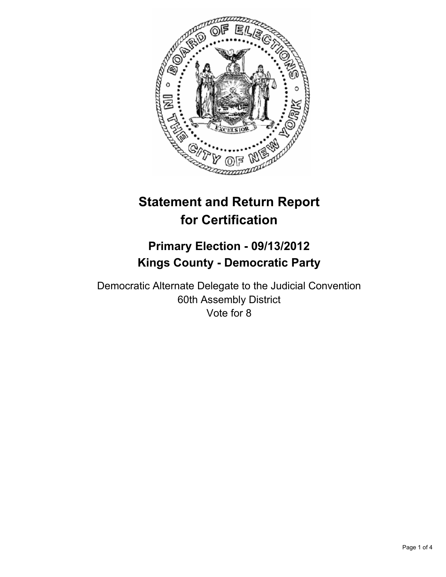

# **Statement and Return Report for Certification**

## **Primary Election - 09/13/2012 Kings County - Democratic Party**

Democratic Alternate Delegate to the Judicial Convention 60th Assembly District Vote for 8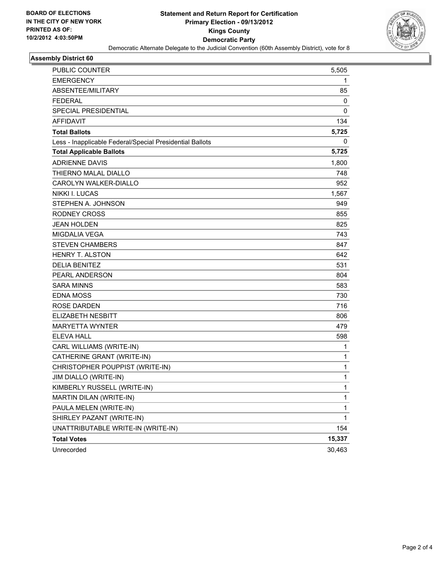

#### **Assembly District 60**

| PUBLIC COUNTER                                           | 5,505  |
|----------------------------------------------------------|--------|
| <b>EMERGENCY</b>                                         | 1      |
| ABSENTEE/MILITARY                                        | 85     |
| <b>FEDERAL</b>                                           | 0      |
| <b>SPECIAL PRESIDENTIAL</b>                              | 0      |
| <b>AFFIDAVIT</b>                                         | 134    |
| <b>Total Ballots</b>                                     | 5,725  |
| Less - Inapplicable Federal/Special Presidential Ballots | 0      |
| <b>Total Applicable Ballots</b>                          | 5,725  |
| <b>ADRIENNE DAVIS</b>                                    | 1,800  |
| THIERNO MALAL DIALLO                                     | 748    |
| CAROLYN WALKER-DIALLO                                    | 952    |
| <b>NIKKI I. LUCAS</b>                                    | 1,567  |
| STEPHEN A. JOHNSON                                       | 949    |
| <b>RODNEY CROSS</b>                                      | 855    |
| <b>JEAN HOLDEN</b>                                       | 825    |
| <b>MIGDALIA VEGA</b>                                     | 743    |
| <b>STEVEN CHAMBERS</b>                                   | 847    |
| HENRY T. ALSTON                                          | 642    |
| <b>DELIA BENITEZ</b>                                     | 531    |
| PEARL ANDERSON                                           | 804    |
| <b>SARA MINNS</b>                                        | 583    |
| EDNA MOSS                                                | 730    |
| <b>ROSE DARDEN</b>                                       | 716    |
| <b>ELIZABETH NESBITT</b>                                 | 806    |
| <b>MARYETTA WYNTER</b>                                   | 479    |
| <b>ELEVA HALL</b>                                        | 598    |
| CARL WILLIAMS (WRITE-IN)                                 | 1      |
| CATHERINE GRANT (WRITE-IN)                               | 1      |
| CHRISTOPHER POUPPIST (WRITE-IN)                          | 1      |
| JIM DIALLO (WRITE-IN)                                    | 1      |
| KIMBERLY RUSSELL (WRITE-IN)                              | 1      |
| MARTIN DILAN (WRITE-IN)                                  | 1      |
| PAULA MELEN (WRITE-IN)                                   | 1      |
| SHIRLEY PAZANT (WRITE-IN)                                | 1      |
| UNATTRIBUTABLE WRITE-IN (WRITE-IN)                       | 154    |
| <b>Total Votes</b>                                       | 15,337 |
| Unrecorded                                               | 30,463 |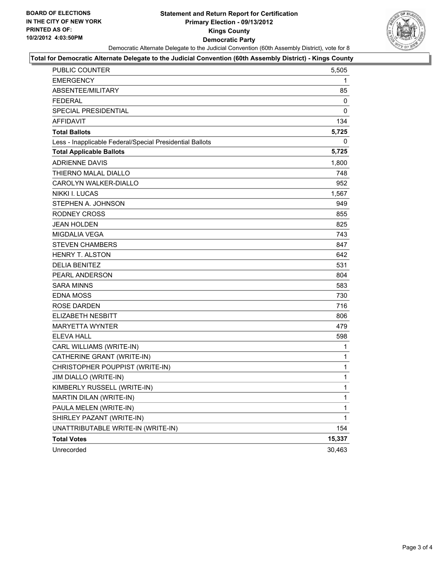#### **Statement and Return Report for Certification Primary Election - 09/13/2012 Kings County Democratic Party** Democratic Alternate Delegate to the Judicial Convention (60th Assembly District), vote for 8



#### **Total for Democratic Alternate Delegate to the Judicial Convention (60th Assembly District) - Kings County**

| <b>PUBLIC COUNTER</b>                                    | 5,505  |
|----------------------------------------------------------|--------|
| <b>EMERGENCY</b>                                         | 1      |
| ABSENTEE/MILITARY                                        | 85     |
| <b>FEDERAL</b>                                           | 0      |
| SPECIAL PRESIDENTIAL                                     | 0      |
| <b>AFFIDAVIT</b>                                         | 134    |
| <b>Total Ballots</b>                                     | 5,725  |
| Less - Inapplicable Federal/Special Presidential Ballots | 0      |
| <b>Total Applicable Ballots</b>                          | 5,725  |
| <b>ADRIENNE DAVIS</b>                                    | 1,800  |
| THIERNO MALAL DIALLO                                     | 748    |
| CAROLYN WALKER-DIALLO                                    | 952    |
| NIKKI I. LUCAS                                           | 1,567  |
| STEPHEN A. JOHNSON                                       | 949    |
| <b>RODNEY CROSS</b>                                      | 855    |
| <b>JEAN HOLDEN</b>                                       | 825    |
| <b>MIGDALIA VEGA</b>                                     | 743    |
| <b>STEVEN CHAMBERS</b>                                   | 847    |
| HENRY T. ALSTON                                          | 642    |
| <b>DELIA BENITEZ</b>                                     | 531    |
| PEARL ANDERSON                                           | 804    |
| <b>SARA MINNS</b>                                        | 583    |
| <b>EDNA MOSS</b>                                         | 730    |
| <b>ROSE DARDEN</b>                                       | 716    |
| ELIZABETH NESBITT                                        | 806    |
| <b>MARYETTA WYNTER</b>                                   | 479    |
| <b>ELEVA HALL</b>                                        | 598    |
| CARL WILLIAMS (WRITE-IN)                                 | 1      |
| CATHERINE GRANT (WRITE-IN)                               | 1      |
| CHRISTOPHER POUPPIST (WRITE-IN)                          | 1      |
| JIM DIALLO (WRITE-IN)                                    | 1      |
| KIMBERLY RUSSELL (WRITE-IN)                              | 1      |
| MARTIN DILAN (WRITE-IN)                                  | 1      |
| PAULA MELEN (WRITE-IN)                                   | 1      |
| SHIRLEY PAZANT (WRITE-IN)                                | 1      |
| UNATTRIBUTABLE WRITE-IN (WRITE-IN)                       | 154    |
| <b>Total Votes</b>                                       | 15,337 |
| Unrecorded                                               | 30,463 |